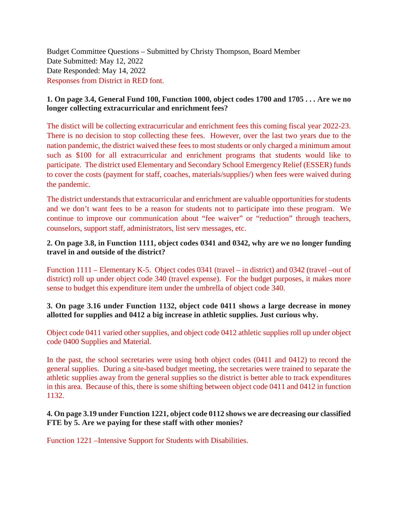Budget Committee Questions – Submitted by Christy Thompson, Board Member Date Submitted: May 12, 2022 Date Responded: May 14, 2022 Responses from District in RED font.

# **1. On page 3.4, General Fund 100, Function 1000, object codes 1700 and 1705 . . . Are we no longer collecting extracurricular and enrichment fees?**

The distict will be collecting extracurricular and enrichment fees this coming fiscal year 2022-23. There is no decision to stop collecting these fees. However, over the last two years due to the nation pandemic, the district waived these fees to most students or only charged a minimum amout such as \$100 for all extracurricular and enrichment programs that students would like to participate. The district used Elementary and Secondary School Emergency Relief (ESSER) funds to cover the costs (payment for staff, coaches, materials/supplies/) when fees were waived during the pandemic.

The district understands that extracurricular and enrichment are valuable opportunities for students and we don't want fees to be a reason for students not to participate into these program. We continue to improve our communication about "fee waiver" or "reduction" through teachers, counselors, support staff, administrators, list serv messages, etc.

# **2. On page 3.8, in Function 1111, object codes 0341 and 0342, why are we no longer funding travel in and outside of the district?**

Function 1111 – Elementary K-5. Object codes 0341 (travel – in district) and 0342 (travel –out of district) roll up under object code 340 (travel expense). For the budget purposes, it makes more sense to budget this expenditure item under the umbrella of object code 340.

# **3. On page 3.16 under Function 1132, object code 0411 shows a large decrease in money allotted for supplies and 0412 a big increase in athletic supplies. Just curious why.**

Object code 0411 varied other supplies, and object code 0412 athletic supplies roll up under object code 0400 Supplies and Material.

In the past, the school secretaries were using both object codes (0411 and 0412) to record the general supplies. During a site-based budget meeting, the secretaries were trained to separate the athletic supplies away from the general supplies so the district is better able to track expenditures in this area. Because of this, there is some shifting between object code 0411 and 0412 in function 1132.

# **4. On page 3.19 under Function 1221, object code 0112 shows we are decreasing our classified FTE by 5. Are we paying for these staff with other monies?**

Function 1221 –Intensive Support for Students with Disabilities.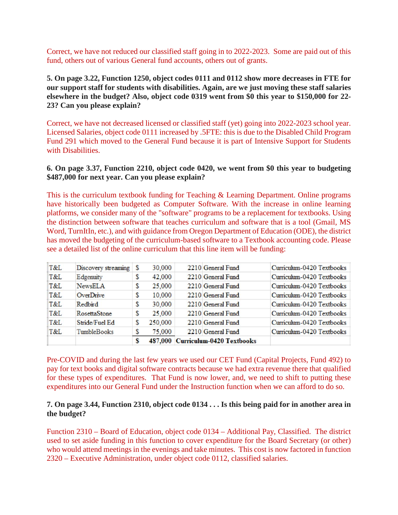Correct, we have not reduced our classified staff going in to 2022-2023. Some are paid out of this fund, others out of various General fund accounts, others out of grants.

**5. On page 3.22, Function 1250, object codes 0111 and 0112 show more decreases in FTE for our support staff for students with disabilities. Again, are we just moving these staff salaries elsewhere in the budget? Also, object code 0319 went from \$0 this year to \$150,000 for 22- 23? Can you please explain?**

Correct, we have not decreased licensed or classified staff (yet) going into 2022-2023 school year. Licensed Salaries, object code 0111 increased by .5FTE: this is due to the Disabled Child Program Fund 291 which moved to the General Fund because it is part of Intensive Support for Students with Disabilities.

#### **6. On page 3.37, Function 2210, object code 0420, we went from \$0 this year to budgeting \$487,000 for next year. Can you please explain?**

This is the curriculum textbook funding for Teaching & Learning Department. Online programs have historically been budgeted as Computer Software. With the increase in online learning platforms, we consider many of the "software" programs to be a replacement for textbooks. Using the distinction between software that teaches curriculum and software that is a tool (Gmail, MS Word, TurnItIn, etc.), and with guidance from Oregon Department of Education (ODE), the district has moved the budgeting of the curriculum-based software to a Textbook accounting code. Please see a detailed list of the online curriculum that this line item will be funding:

|     |                     | S |         | 487,000 Curriculum-0420 Textbooks |                           |
|-----|---------------------|---|---------|-----------------------------------|---------------------------|
| T&L | <b>TumbleBooks</b>  |   | 75,000  | 2210 General Fund                 | Curriculum-0420 Textbooks |
| T&L | Stride/Fuel Ed      | S | 250,000 | 2210 General Fund                 | Curriculum-0420 Textbooks |
| T&L | RosettaStone        | S | 25,000  | 2210 General Fund                 | Curriculum-0420 Textbooks |
| T&L | Redbird             | S | 30,000  | 2210 General Fund                 | Curriculum-0420 Textbooks |
| T&L | OverDrive           | S | 10,000  | 2210 General Fund                 | Curriculum-0420 Textbooks |
| T&L | <b>NewsELA</b>      | S | 25,000  | 2210 General Fund                 | Curriculum-0420 Textbooks |
| T&L | Edgemuity           | S | 42,000  | 2210 General Fund                 | Curriculum-0420 Textbooks |
| T&L | Discovery streaming | S | 30,000  | 2210 General Fund                 | Curriculum-0420 Textbooks |
|     |                     |   |         |                                   |                           |

Pre-COVID and during the last few years we used our CET Fund (Capital Projects, Fund 492) to pay for text books and digital software contracts because we had extra revenue there that qualified for these types of expenditures. That Fund is now lower, and, we need to shift to putting these expenditures into our General Fund under the Instruction function when we can afford to do so.

#### **7. On page 3.44, Function 2310, object code 0134 . . . Is this being paid for in another area in the budget?**

Function 2310 – Board of Education, object code 0134 – Additional Pay, Classified. The district used to set aside funding in this function to cover expenditure for the Board Secretary (or other) who would attend meetings in the evenings and take minutes. This cost is now factored in function 2320 – Executive Administration, under object code 0112, classified salaries.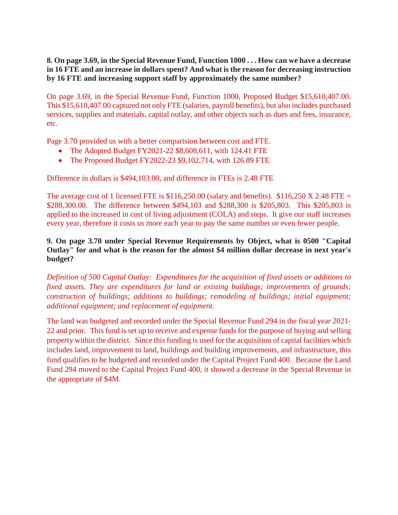**8. On page 3.69, in the Special Revenue Fund, Function 1000 . . . How can we have a decrease in 16 FTE and an increase in dollars spent? And what is the reason for decreasing instruction by 16 FTE and increasing support staff by approximately the same number?**

On page 3.69, in the Special Revenue Fund, Function 1000, Proposed Budget \$15,610,407.00. This \$15,610,407.00 captured not only FTE (salaries, payroll benefits), but also includes purchased services, supplies and materials, capital outlay, and other objects such as dues and fees, insurance, etc.

Page 3.70 provided us with a better comparision between cost and FTE.

- The Adopted Budget FY2021-22 \$8,608,611, with 124.41 FTE
- The Proposed Budget FY2022-23 \$9,102,714, with 126.89 FTE

Difference in dollars is \$494,103.00, and difference in FTEs is 2.48 FTE

The average cost of 1 licensed FTE is  $$116,250.00$  (salary and benefits).  $$116,250$  X 2.48 FTE = \$288,300.00. The difference between \$494,103 and \$288,300 is \$205,803. This \$205,803 is applied to the increased in cost of living adjustment (COLA) and steps. It give our staff increases every year, therefore it costs us more each year to pay the same number or even fewer people.

# **9. On page 3.70 under Special Revenue Requirements by Object, what is 0500 "Capital Outlay" for and what is the reason for the almost \$4 million dollar decrease in next year's budget?**

*Definition of 500 Capital Outlay: Expenditures for the acquisition of fixed assets or additions to fixed assets. They are expenditures for land or existing buildings; improvements of grounds; construction of buildings; additions to buildings; remodeling of buildings; initial equipment; additional equipment; and replacement of equipment.*

The land was budgeted and recorded under the Special Revenue Fund 294 in the fiscal year 2021- 22 and prior. This fund is set up to receive and expense funds for the purpose of buying and selling property within the district. Since this funding is used for the acquisition of capital facilities which includes land, improvement to land, buildings and building improvements, and infrastructure, this fund qualifies to be budgeted and recorded under the Capital Project Fund 400. Because the Land Fund 294 moved to the Capital Project Fund 400, it showed a decrease in the Special Revenue in the appropriate of \$4M.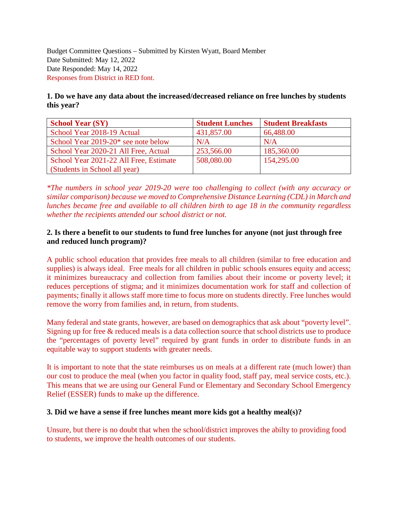Budget Committee Questions – Submitted by Kirsten Wyatt, Board Member Date Submitted: May 12, 2022 Date Responded: May 14, 2022 Responses from District in RED font.

# **1. Do we have any data about the increased/decreased reliance on free lunches by students this year?**

| <b>School Year (SY)</b>                | <b>Student Lunches</b> | <b>Student Breakfasts</b> |
|----------------------------------------|------------------------|---------------------------|
| School Year 2018-19 Actual             | 431,857.00             | 66,488.00                 |
| School Year 2019-20* see note below    | N/A                    | N/A                       |
| School Year 2020-21 All Free, Actual   | 253,566.00             | 185,360.00                |
| School Year 2021-22 All Free, Estimate | 508,080.00             | 154,295.00                |
| (Students in School all year)          |                        |                           |

*\*The numbers in school year 2019-20 were too challenging to collect (with any accuracy or similar comparison) because we moved to Comprehensive Distance Learning (CDL) in March and lunches became free and available to all children birth to age 18 in the community regardless whether the recipients attended our school district or not.* 

# **2. Is there a benefit to our students to fund free lunches for anyone (not just through free and reduced lunch program)?**

A public school education that provides free meals to all children (similar to free education and supplies) is always ideal. Free meals for all children in public schools ensures equity and access; it minimizes bureaucracy and collection from families about their income or poverty level; it reduces perceptions of stigma; and it minimizes documentation work for staff and collection of payments; finally it allows staff more time to focus more on students directly. Free lunches would remove the worry from families and, in return, from students.

Many federal and state grants, however, are based on demographics that ask about "poverty level". Signing up for free & reduced meals is a data collection source that school districts use to produce the "percentages of poverty level" required by grant funds in order to distribute funds in an equitable way to support students with greater needs.

It is important to note that the state reimburses us on meals at a different rate (much lower) than our cost to produce the meal (when you factor in quality food, staff pay, meal service costs, etc.). This means that we are using our General Fund or Elementary and Secondary School Emergency Relief (ESSER) funds to make up the difference.

#### **3. Did we have a sense if free lunches meant more kids got a healthy meal(s)?**

Unsure, but there is no doubt that when the school/district improves the abilty to providing food to students, we improve the health outcomes of our students.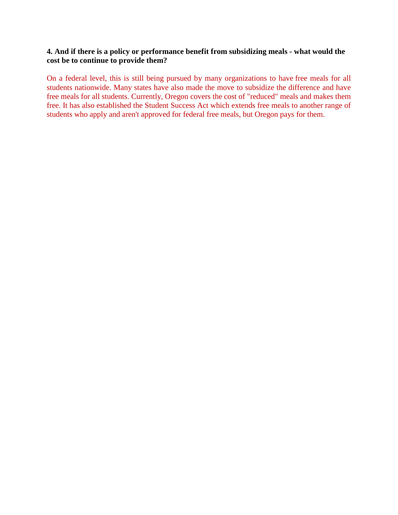# **4. And if there is a policy or performance benefit from subsidizing meals - what would the cost be to continue to provide them?**

On a federal level, this is still being pursued by many organizations to have free meals for all students nationwide. Many states have also made the move to subsidize the difference and have free meals for all students. Currently, Oregon covers the cost of "reduced" meals and makes them free. It has also established the Student Success Act which extends free meals to another range of students who apply and aren't approved for federal free meals, but Oregon pays for them.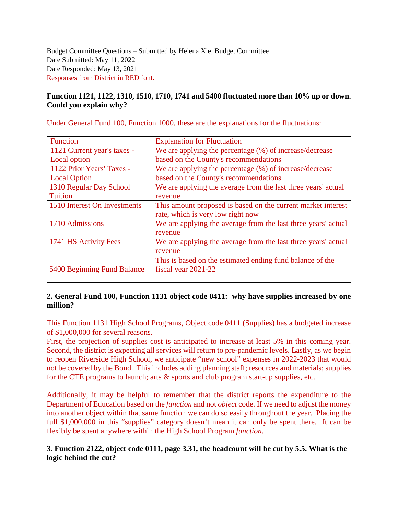Budget Committee Questions – Submitted by Helena Xie, Budget Committee Date Submitted: May 11, 2022 Date Responded: May 13, 2021 Responses from District in RED font.

# **Function 1121, 1122, 1310, 1510, 1710, 1741 and 5400 fluctuated more than 10% up or down. Could you explain why?**

Under General Fund 100, Function 1000, these are the explanations for the fluctuations:

| <b>Function</b>              | <b>Explanation for Fluctuation</b>                            |
|------------------------------|---------------------------------------------------------------|
| 1121 Current year's taxes -  | We are applying the percentage (%) of increase/decrease       |
| Local option                 | based on the County's recommendations                         |
| 1122 Prior Years' Taxes -    | We are applying the percentage (%) of increase/decrease       |
| <b>Local Option</b>          | based on the County's recommendations                         |
| 1310 Regular Day School      | We are applying the average from the last three years' actual |
| <b>Tuition</b>               | revenue                                                       |
| 1510 Interest On Investments | This amount proposed is based on the current market interest  |
|                              | rate, which is very low right now                             |
| 1710 Admissions              | We are applying the average from the last three years' actual |
|                              | revenue                                                       |
| 1741 HS Activity Fees        | We are applying the average from the last three years' actual |
|                              | revenue                                                       |
|                              | This is based on the estimated ending fund balance of the     |
| 5400 Beginning Fund Balance  | fiscal year 2021-22                                           |
|                              |                                                               |

# **2. General Fund 100, Function 1131 object code 0411: why have supplies increased by one million?**

This Function 1131 High School Programs, Object code 0411 (Supplies) has a budgeted increase of \$1,000,000 for several reasons.

First, the projection of supplies cost is anticipated to increase at least 5% in this coming year. Second, the district is expecting all services will return to pre-pandemic levels. Lastly, as we begin to reopen Riverside High School, we anticipate "new school" expenses in 2022-2023 that would not be covered by the Bond. This includes adding planning staff; resources and materials; supplies for the CTE programs to launch; arts  $\&$  sports and club program start-up supplies, etc.

Additionally, it may be helpful to remember that the district reports the expenditure to the Department of Education based on the *function* and not *object* code. If we need to adjust the money into another object within that same function we can do so easily throughout the year. Placing the full \$1,000,000 in this "supplies" category doesn't mean it can only be spent there. It can be flexibly be spent anywhere within the High School Program *function*.

# **3. Function 2122, object code 0111, page 3.31, the headcount will be cut by 5.5. What is the logic behind the cut?**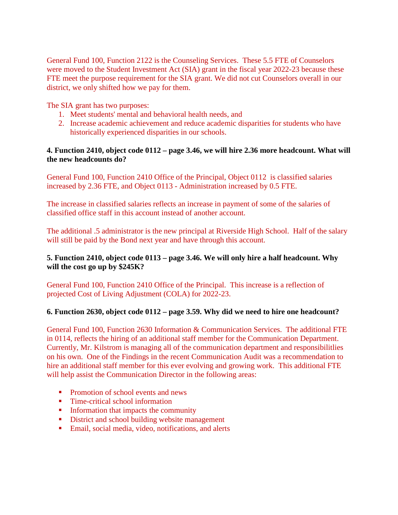General Fund 100, Function 2122 is the Counseling Services. These 5.5 FTE of Counselors were moved to the Student Investment Act (SIA) grant in the fiscal year 2022-23 because these FTE meet the purpose requirement for the SIA grant. We did not cut Counselors overall in our district, we only shifted how we pay for them.

The SIA grant has two purposes:

- 1. Meet students' mental and behavioral health needs, and
- 2. Increase academic achievement and reduce academic disparities for students who have historically experienced disparities in our schools.

# **4. Function 2410, object code 0112 – page 3.46, we will hire 2.36 more headcount. What will the new headcounts do?**

General Fund 100, Function 2410 Office of the Principal, Object 0112 is classified salaries increased by 2.36 FTE, and Object 0113 - Administration increased by 0.5 FTE.

The increase in classified salaries reflects an increase in payment of some of the salaries of classified office staff in this account instead of another account.

The additional .5 administrator is the new principal at Riverside High School. Half of the salary will still be paid by the Bond next year and have through this account.

# **5. Function 2410, object code 0113 – page 3.46. We will only hire a half headcount. Why will the cost go up by \$245K?**

General Fund 100, Function 2410 Office of the Principal. This increase is a reflection of projected Cost of Living Adjustment (COLA) for 2022-23.

# **6. Function 2630, object code 0112 – page 3.59. Why did we need to hire one headcount?**

General Fund 100, Function 2630 Information & Communication Services. The additional FTE in 0114, reflects the hiring of an additional staff member for the Communication Department. Currently, Mr. Kilstrom is managing all of the communication department and responsibilitlies on his own. One of the Findings in the recent Communication Audit was a recommendation to hire an additional staff member for this ever evolving and growing work. This additional FTE will help assist the Communication Director in the following areas:

- Promotion of school events and news
- Time-critical school information
- **Information that impacts the community**
- District and school building website management
- **Email, social media, video, notifications, and alerts**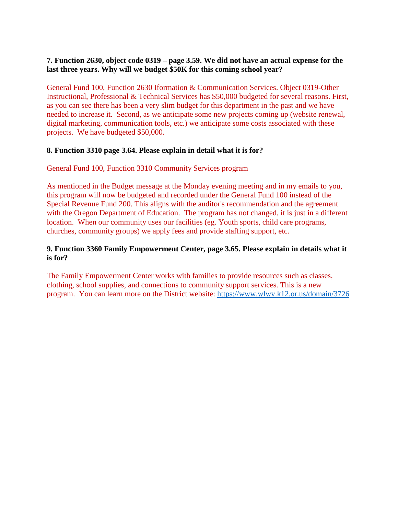# **7. Function 2630, object code 0319 – page 3.59. We did not have an actual expense for the last three years. Why will we budget \$50K for this coming school year?**

General Fund 100, Function 2630 Iformation & Communication Services. Object 0319-Other Instructional, Professional & Technical Services has \$50,000 budgeted for several reasons. First, as you can see there has been a very slim budget for this department in the past and we have needed to increase it. Second, as we anticipate some new projects coming up (website renewal, digital marketing, communication tools, etc.) we anticipate some costs associated with these projects. We have budgeted \$50,000.

# **8. Function 3310 page 3.64. Please explain in detail what it is for?**

#### General Fund 100, Function 3310 Community Services program

As mentioned in the Budget message at the Monday evening meeting and in my emails to you, this program will now be budgeted and recorded under the General Fund 100 instead of the Special Revenue Fund 200. This aligns with the auditor's recommendation and the agreement with the Oregon Department of Education. The program has not changed, it is just in a different location. When our community uses our facilities (eg. Youth sports, child care programs, churches, community groups) we apply fees and provide staffing support, etc.

# **9. Function 3360 Family Empowerment Center, page 3.65. Please explain in details what it is for?**

The Family Empowerment Center works with families to provide resources such as classes, clothing, school supplies, and connections to community support services. This is a new program. You can learn more on the District website:<https://www.wlwv.k12.or.us/domain/3726>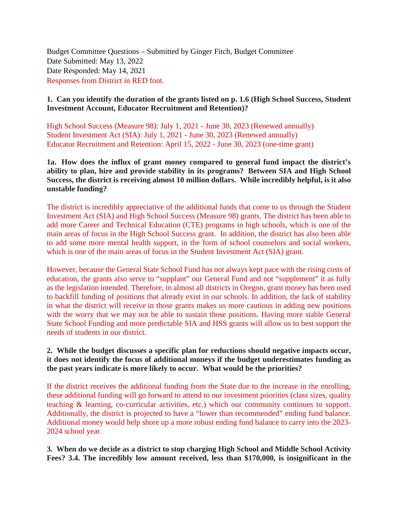Budget Committee Questions – Submitted by Ginger Fitch, Budget Committee Date Submitted: May 13, 2022 Date Responded: May 14, 2021 Responses from District in RED font.

# **1. Can you identify the duration of the grants listed on p. 1.6 (High School Success, Student Investment Account, Educator Recruitment and Retention)?**

High School Success (Measure 98): July 1, 2021 - June 30, 2023 (Renewed annually) Student Investment Act (SIA): July 1, 2021 - June 30, 2023 (Renewed annually) Educator Recruitment and Retention: April 15, 2022 - June 30, 2023 (one-time grant)

**1a. How does the influx of grant money compared to general fund impact the district's ability to plan, hire and provide stability in its programs? Between SIA and High School Success, the district is receiving almost 10 million dollars. While incredibly helpful, is it also unstable funding?**

The district is incredibly appreciative of the additional funds that come to us through the Student Investment Act (SIA) and High School Success (Measure 98) grants. The district has been able to add more Career and Technical Education (CTE) programs in high schools, which is one of the main areas of focus in the High School Success grant. In addition, the district has also been able to add some more mental health support, in the form of school counselors and social workers, which is one of the main areas of focus in the Student Investment Act (SIA) grant.

However, because the General State School Fund has not always kept pace with the rising costs of education, the grants also serve to "supplant" our General Fund and not "supplement" it as fully as the legislation intended. Therefore, in almost all districts in Oregon, grant money has been used to backfill funding of positions that already exist in our schools. In addition, the lack of stability in what the district will receive in those grants makes us more cautious in adding new positions with the worry that we may not be able to sustain those positions. Having more stable General State School Funding and more predictable SIA and HSS grants will allow us to best support the needs of students in our district.

# **2. While the budget discusses a specific plan for reductions should negative impacts occur, it does not identify the focus of additional moneys if the budget underestimates funding as the past years indicate is more likely to occur. What would be the priorities?**

If the district receives the additional funding from the State due to the increase in the enrolling, these additional funding will go forward to attend to our investment priorities (class sizes, quality teaching & learning, co-curricular activities, etc.) which our community continues to support. Additionally, the district is projected to have a "lower than recommended" ending fund balance. Additional money would help shore up a more robust ending fund balance to carry into the 2023- 2024 school year.

**3. When do we decide as a district to stop charging High School and Middle School Activity Fees? 3.4. The incredibly low amount received, less than \$170,000, is insignificant in the**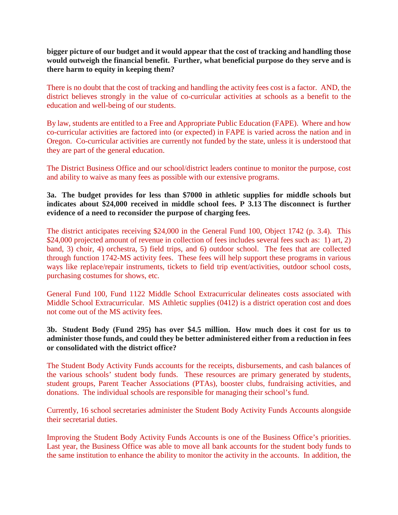**bigger picture of our budget and it would appear that the cost of tracking and handling those would outweigh the financial benefit. Further, what beneficial purpose do they serve and is there harm to equity in keeping them?**

There is no doubt that the cost of tracking and handling the activity fees cost is a factor. AND, the district believes strongly in the value of co-curricular activities at schools as a benefit to the education and well-being of our students.

By law, students are entitled to a Free and Appropriate Public Education (FAPE). Where and how co-curricular activities are factored into (or expected) in FAPE is varied across the nation and in Oregon. Co-curricular activities are currently not funded by the state, unless it is understood that they are part of the general education.

The District Business Office and our school/district leaders continue to monitor the purpose, cost and ability to waive as many fees as possible with our extensive programs.

# **3a. The budget provides for less than \$7000 in athletic supplies for middle schools but indicates about \$24,000 received in middle school fees. P 3.13 The disconnect is further evidence of a need to reconsider the purpose of charging fees.**

The district anticipates receiving \$24,000 in the General Fund 100, Object 1742 (p. 3.4). This \$24,000 projected amount of revenue in collection of fees includes several fees such as: 1) art, 2) band, 3) choir, 4) orchestra, 5) field trips, and 6) outdoor school. The fees that are collected through function 1742-MS activity fees. These fees will help support these programs in various ways like replace/repair instruments, tickets to field trip event/activities, outdoor school costs, purchasing costumes for shows, etc.

General Fund 100, Fund 1122 Middle School Extracurricular delineates costs associated with Middle School Extracurricular. MS Athletic supplies (0412) is a district operation cost and does not come out of the MS activity fees.

# **3b. Student Body (Fund 295) has over \$4.5 million. How much does it cost for us to administer those funds, and could they be better administered either from a reduction in fees or consolidated with the district office?**

The Student Body Activity Funds accounts for the receipts, disbursements, and cash balances of the various schools' student body funds. These resources are primary generated by students, student groups, Parent Teacher Associations (PTAs), booster clubs, fundraising activities, and donations. The individual schools are responsible for managing their school's fund.

Currently, 16 school secretaries administer the Student Body Activity Funds Accounts alongside their secretarial duties.

Improving the Student Body Activity Funds Accounts is one of the Business Office's priorities. Last year, the Business Office was able to move all bank accounts for the student body funds to the same institution to enhance the ability to monitor the activity in the accounts. In addition, the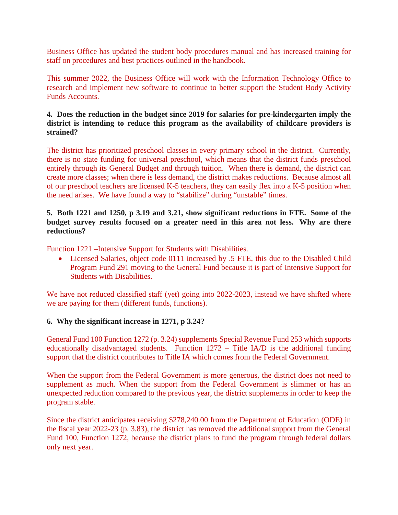Business Office has updated the student body procedures manual and has increased training for staff on procedures and best practices outlined in the handbook.

This summer 2022, the Business Office will work with the Information Technology Office to research and implement new software to continue to better support the Student Body Activity Funds Accounts.

# **4. Does the reduction in the budget since 2019 for salaries for pre-kindergarten imply the district is intending to reduce this program as the availability of childcare providers is strained?**

The district has prioritized preschool classes in every primary school in the district. Currently, there is no state funding for universal preschool, which means that the district funds preschool entirely through its General Budget and through tuition. When there is demand, the district can create more classes; when there is less demand, the district makes reductions. Because almost all of our preschool teachers are licensed K-5 teachers, they can easily flex into a K-5 position when the need arises. We have found a way to "stabilize" during "unstable" times.

# **5. Both 1221 and 1250, p 3.19 and 3.21, show significant reductions in FTE. Some of the budget survey results focused on a greater need in this area not less. Why are there reductions?**

Function 1221 –Intensive Support for Students with Disabilities.

• Licensed Salaries, object code 0111 increased by .5 FTE, this due to the Disabled Child Program Fund 291 moving to the General Fund because it is part of Intensive Support for Students with Disabilities.

We have not reduced classified staff (yet) going into 2022-2023, instead we have shifted where we are paying for them (different funds, functions).

#### **6. Why the significant increase in 1271, p 3.24?**

General Fund 100 Function 1272 (p. 3.24) supplements Special Revenue Fund 253 which supports educationally disadvantaged students. Function 1272 – Title IA/D is the additional funding support that the district contributes to Title IA which comes from the Federal Government.

When the support from the Federal Government is more generous, the district does not need to supplement as much. When the support from the Federal Government is slimmer or has an unexpected reduction compared to the previous year, the district supplements in order to keep the program stable.

Since the district anticipates receiving \$278,240.00 from the Department of Education (ODE) in the fiscal year 2022-23 (p. 3.83), the district has removed the additional support from the General Fund 100, Function 1272, because the district plans to fund the program through federal dollars only next year.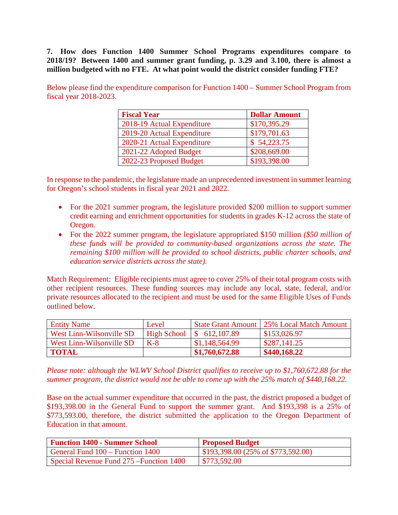**7. How does Function 1400 Summer School Programs expenditures compare to 2018/19? Between 1400 and summer grant funding, p. 3.29 and 3.100, there is almost a million budgeted with no FTE. At what point would the district consider funding FTE?**

Below please find the expenditure comparison for Function 1400 – Summer School Program from fiscal year 2018-2023.

| <b>Fiscal Year</b>         | <b>Dollar Amount</b> |
|----------------------------|----------------------|
| 2018-19 Actual Expenditure | \$170,395.29         |
| 2019-20 Actual Expenditure | \$179,701.63         |
| 2020-21 Actual Expenditure | \$54,223.75          |
| 2021-22 Adopted Budget     | \$208,669.00         |
| 2022-23 Proposed Budget    | \$193,398.00         |

In response to the pandemic, the legislature made an unprecedented investment in summer learning for Oregon's school students in fiscal year 2021 and 2022.

- For the 2021 summer program, the legislature provided \$200 million to support summer credit earning and enrichment opportunities for students in grades K-12 across the state of Oregon.
- For the 2022 summer program, the legislature appropriated \$150 million *(\$50 million of these funds will be provided to community-based organizations across the state. The remaining \$100 million will be provided to school districts, public charter schools, and education service districts across the state).*

Match Requirement: Eligible recipients must agree to cover 25% of their total program costs with other recipient resources. These funding sources may include any local, state, federal, and/or private resources allocated to the recipient and must be used for the same Eligible Uses of Funds outlined below.

| <b>Entity Name</b>       | Level |                             | State Grant Amount 25% Local Match Amount |
|--------------------------|-------|-----------------------------|-------------------------------------------|
| West Linn-Wilsonville SD |       | High School   $$612,107.89$ | \$153,026.97                              |
| West Linn-Wilsonville SD | $K-8$ | \$1,148,564.99              | \$287,141.25                              |
| <b>TOTAL</b>             |       | \$1,760,672.88              | \$440,168.22                              |

*Please note: although the WLWV School District qualifies to receive up to \$1,760,672.88 for the summer program, the district would not be able to come up with the 25% match of \$440,168.22.*

Base on the actual summer expenditure that occurred in the past, the district proposed a budget of \$193,398.00 in the General Fund to support the summer grant. And \$193,398 is a 25% of \$773,593.00, therefore, the district submitted the application to the Oregon Department of Education in that amount.

| <b>Function 1400 - Summer School</b>     | <b>Proposed Budget</b>                     |
|------------------------------------------|--------------------------------------------|
| General Fund 100 – Function 1400         | $\vert$ \$193,398.00 (25% of \$773,592.00) |
| Special Revenue Fund 275 – Function 1400 | \$773,592.00                               |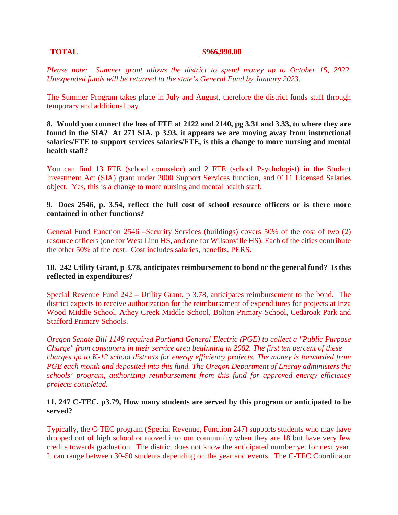#### **TOTAL** \$966,990.00

*Please note:* Summer grant allows the district to spend money up to October 15, 2022. *Unexpended funds will be returned to the state's General Fund by January 2023.*

The Summer Program takes place in July and August, therefore the district funds staff through temporary and additional pay.

**8. Would you connect the loss of FTE at 2122 and 2140, pg 3.31 and 3.33, to where they are found in the SIA? At 271 SIA, p 3.93, it appears we are moving away from instructional salaries/FTE to support services salaries/FTE, is this a change to more nursing and mental health staff?**

You can find 13 FTE (school counselor) and 2 FTE (school Psychologist) in the Student Investment Act (SIA) grant under 2000 Support Services function, and 0111 Licensed Salaries object. Yes, this is a change to more nursing and mental health staff.

# **9. Does 2546, p. 3.54, reflect the full cost of school resource officers or is there more contained in other functions?**

General Fund Function 2546 –Security Services (buildings) covers 50% of the cost of two (2) resource officers (one for West Linn HS, and one for Wilsonville HS). Each of the cities contribute the other 50% of the cost. Cost includes salaries, benefits, PERS.

# **10. 242 Utility Grant, p 3.78, anticipates reimbursement to bond or the general fund? Is this reflected in expenditures?**

Special Revenue Fund 242 – Utility Grant, p 3.78, anticipates reimbursement to the bond. The district expects to receive authorization for the reimbursement of expenditures for projects at Inza Wood Middle School, Athey Creek Middle School, Bolton Primary School, Cedaroak Park and Stafford Primary Schools.

*Oregon Senate Bill 1149 required Portland General Electric (PGE) to collect a "Public Purpose Charge" from consumers in their service area beginning in 2002. The first ten percent of these charges go to K-12 school districts for energy efficiency projects. The money is forwarded from PGE each month and deposited into this fund. The Oregon Department of Energy administers the schools' program, authorizing reimbursement from this fund for approved energy efficiency projects completed.* 

# **11. 247 C-TEC, p3.79, How many students are served by this program or anticipated to be served?**

Typically, the C-TEC program (Special Revenue, Function 247) supports students who may have dropped out of high school or moved into our community when they are 18 but have very few credits towards graduation. The district does not know the anticipated number yet for next year. It can range between 30-50 students depending on the year and events. The C-TEC Coordinator